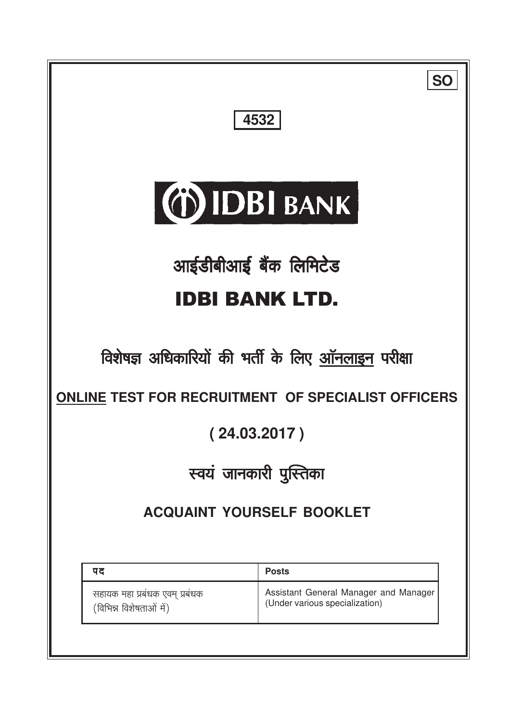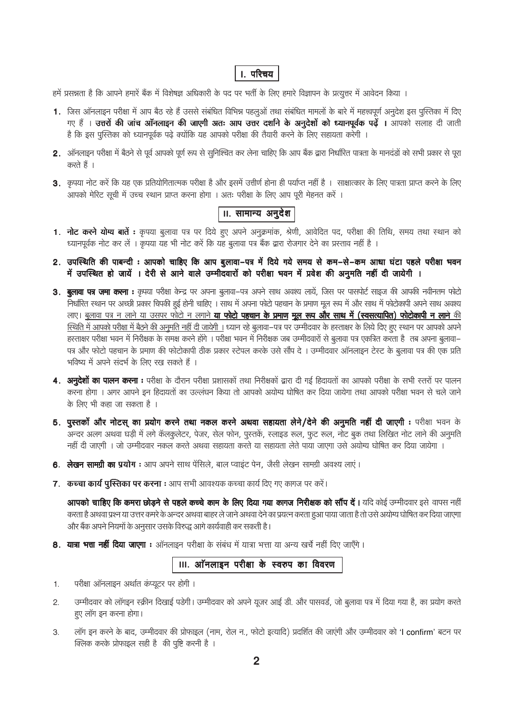### **।**. परिचय

हमें प्रसन्नता है कि आपने हमारें बैंक में विशेषज्ञ अधिकारी के पद पर भर्ती के लिए हमारे विज्ञापन के प्रत्युत्तर में आवेदन किया ।

- 1. जिस ऑनलाइन परीक्षा में आप बैठ रहे हैं उससे संबंधित विभिन्न पहलुओं तथा संबंधित मामलों के बारे में महत्त्वपूर्ण अनुदेश इस पुस्तिका में दिए गए हैं । उत्त**रों की जांच ऑनलाइन की जाएगी अतः आप उत्तर दर्शाने के अनुदेशों को ध्यानपूर्वक पढ़ें । आपको सलाह दी जाती** है कि इस पुस्तिका को ध्यानपूर्वक पढ़े क्योंकि यह आपको परीक्षा की तैयारी करने के लिए सहायता करेगी ।
- 2. ऑनलाइन परीक्षा में बैठने से पूर्व आपको पूर्ण रूप से सुनिश्चित कर लेना चाहिए कि आप बैंक द्वारा निर्धारित पात्रता के मानदंडों को सभी प्रकार से पूरा करते हैं ।
- 3. कृपया नोट करें कि यह एक प्रतियोगितात्मक परीक्षा है और इसमें उत्तीर्ण होना ही पर्याप्त नहीं है । साक्षात्कार के लिए पात्रता प्राप्त करने के लिए आपको मेरिट सूची में उच्च स्थान प्राप्त करना होगा । अतः परीक्षा के लिए आप पूरी मेहनत करें ।

# ॥. सामान्य अनुदेश

- 1. नोट करने योग्य बातें : कृपया बुलावा पत्र पर दिये हुए अपने अनुक्रमांक, श्रेणी, आवेदित पद, परीक्षा की तिथि, समय तथा स्थान को ध्यानपूर्वक नोट कर लें । कृपया यह भी नोट करें कि यह बुलावा पत्र बैंक द्वारा रोजगार देने का प्रस्ताव नहीं है ।
- 2. उपस्थिति की पाबन्दी : आपको चाहिए कि आप बुलावा-पत्र में दिये गये समय से कम-से-कम आधा घंटा पहले परीक्षा भवन में उपस्थित हो जायें । देरी से आने वाले उम्मीदवारों को परीक्षा भवन में प्रवेश की अनुमति नहीं दी जायेगी ।
- 3. बुलावा पत्र जमा करना : कृपया परीक्षा केन्द्र पर अपना बुलावा–पत्र अपने साथ अवश्य लायें, जिस पर पासपोर्ट साइज की आपकी नवीनतम फोटो निर्धारित स्थान पर अच्छी प्रकार चिपकी हुई होनी चाहिए । साथ में अपना फोटो पहचान के प्रमाण मूल रूप में और साथ में फोटोकापी अपने साथ अवश्य लाए। बुलावा पत्र न लाने या उसपर फोटो न लगाने **या फोटो पहचान के प्रमाण मूल रूप और साथ में (स्वसत्यापित) फोटोकापी न लाने** की स्थिति में आपको परीक्षा में बैठने की अनुमति नहीं दी जायेगी । ध्यान रहे बूलावा–पत्र पर उम्मीदवार के हरताक्षर के लिये दिए हुए स्थान पर आपको अपने हस्ताक्षर परीक्षा भवन में निरीक्षक के समक्ष करने होंगे । परीक्षा भवन में निरीक्षक जब उम्मीदवारों से बुलावा पत्र एकत्रित करता है तब अपना बुलावा– पत्र और फोटो पहचान के प्रमाण की फोटोकापी ठीक प्रकार स्टेपल करके उसे सौंप दे। उम्मीदवार ऑनलाइन टेस्ट के बुलावा पत्र की एक प्रति भविष्य में अपने संदर्भ के लिए रख सकते हैं ।
- 4. अनुदेशों का पालन करना : परीक्षा के दौरान परीक्षा प्रशासकों तथा निरीक्षकों द्वारा दी गई हिदायतों का आपको परीक्षा के सभी स्तरों पर पालन करना होगा । अगर आपने इन हिदायतों का उल्लंघन किया तो आपको अयोग्य घोषित कर दिया जायेगा तथा आपको परीक्षा भवन से चले जाने के लिए भी कहा जा सकता है ।
- 5. पुस्तकों और नोटस् का प्रयोग करने तथा नकल करने अथवा सहायता लेने/देने की अनुमति नहीं दी जाएगी : परीक्षा भवन के अन्दर अलग अथवा घड़ी में लगे कॅलकुलेटर, पेजर, सेल फोन, पुस्तकें, स्लाइड रूल, फुट रूल, नोट बुक तथा लिखित नोट लाने की अनुमति नहीं दी जाएगी । जो उम्मीदवार नकल करते अथवा सहायता करते या सहायता लेते पाया जाएगा उसे अयोग्य घोषित कर दिया जायेगा ।
- 6. लेखन सामग्री का प्रयोग : आप अपने साथ पेंसिले, बाल प्वाइंट पेन, जैसी लेखन सामग्री अवश्य लाएं ।
- 7. कच्चा कार्य पुस्तिका पर करना : आप सभी आवश्यक कच्चा कार्य दिए गए कागज पर करें।

आपको चाहिए कि कमरा छोड़ने से पहले कच्चे काम के लिए दिया गया कागज निरीक्षक को सौंप दें। यदि कोई उम्मीदवार इसे वापस नहीं करता है अथवा प्रश्न या उत्तर कमरे के अन्दर अथवा बाहर ले जाने अथवा देने का प्रयत्न करता हुआ पाया जाता है तो उसे अयोग्य घोषित कर दिया जाएगा और बैंक अपने नियमों के अनुसार उसके विरुद्ध आगे कार्यवाही कर सकती है।

8. यात्रा भत्ता नहीं दिया जाएगा : ऑनलाइन परीक्षा के संबंध में यात्रा भत्ता या अन्य खर्चे नहीं दिए जाएँगे।

### ।।।. ऑनलाइन परीक्षा के स्वरुप का विवरण

- परीक्षा ऑनलाइन अर्थात कंप्यूटर पर होगी ।  $1.$
- उम्मीदवार को लॉगइन स्क्रीन दिखाई पड़ेगी। उम्मीदवार को अपने यूजर आई डी. और पासवर्ड, जो बूलावा पत्र में दिया गया है, का प्रयोग करते  $2.$ हुए लॉग इन करना होगा।
- लॉग इन करने के बाद, उम्मीदवार की प्रोफाइल (नाम, रोल न., फोटो इत्यादि) प्रदर्शित की जाएंगी और उम्मीदवार को 'I confirm' बटन पर 3. क्लिक करके प्रोफाइल सही है की पृष्टि करनी है ।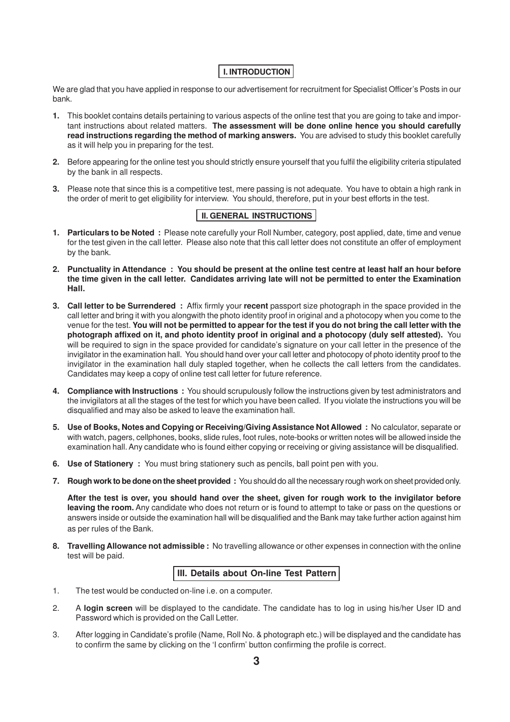### **I. INTRODUCTION**

We are glad that you have applied in response to our advertisement for recruitment for Specialist Officer's Posts in our bank.

- **1.** This booklet contains details pertaining to various aspects of the online test that you are going to take and important instructions about related matters. **The assessment will be done online hence you should carefully read instructions regarding the method of marking answers.** You are advised to study this booklet carefully as it will help you in preparing for the test.
- **2.** Before appearing for the online test you should strictly ensure yourself that you fulfil the eligibility criteria stipulated by the bank in all respects.
- **3.** Please note that since this is a competitive test, mere passing is not adequate. You have to obtain a high rank in the order of merit to get eligibility for interview. You should, therefore, put in your best efforts in the test.

### **II. GENERAL INSTRUCTIONS**

- **1. Particulars to be Noted :** Please note carefully your Roll Number, category, post applied, date, time and venue for the test given in the call letter. Please also note that this call letter does not constitute an offer of employment by the bank.
- **2. Punctuality in Attendance : You should be present at the online test centre at least half an hour before the time given in the call letter. Candidates arriving late will not be permitted to enter the Examination Hall.**
- **3. Call letter to be Surrendered :** Affix firmly your **recent** passport size photograph in the space provided in the call letter and bring it with you alongwith the photo identity proof in original and a photocopy when you come to the venue for the test. **You will not be permitted to appear for the test if you do not bring the call letter with the photograph affixed on it, and photo identity proof in original and a photocopy (duly self attested).** You will be required to sign in the space provided for candidate's signature on your call letter in the presence of the invigilator in the examination hall. You should hand over your call letter and photocopy of photo identity proof to the invigilator in the examination hall duly stapled together, when he collects the call letters from the candidates. Candidates may keep a copy of online test call letter for future reference.
- **4. Compliance with Instructions :** You should scrupulously follow the instructions given by test administrators and the invigilators at all the stages of the test for which you have been called. If you violate the instructions you will be disqualified and may also be asked to leave the examination hall.
- **5. Use of Books, Notes and Copying or Receiving/Giving Assistance Not Allowed :** No calculator, separate or with watch, pagers, cellphones, books, slide rules, foot rules, note-books or written notes will be allowed inside the examination hall. Any candidate who is found either copying or receiving or giving assistance will be disqualified.
- **6. Use of Stationery :** You must bring stationery such as pencils, ball point pen with you.
- **7. Rough work to be done on the sheet provided :** You should do all the necessary rough work on sheet provided only.

**After the test is over, you should hand over the sheet, given for rough work to the invigilator before leaving the room.** Any candidate who does not return or is found to attempt to take or pass on the questions or answers inside or outside the examination hall will be disqualified and the Bank may take further action against him as per rules of the Bank.

**8. Travelling Allowance not admissible :** No travelling allowance or other expenses in connection with the online test will be paid.

#### **III. Details about On-line Test Pattern**

- 1. The test would be conducted on-line i.e. on a computer.
- 2. A **login screen** will be displayed to the candidate. The candidate has to log in using his/her User ID and Password which is provided on the Call Letter.
- 3. After logging in Candidate's profile (Name, Roll No. & photograph etc.) will be displayed and the candidate has to confirm the same by clicking on the 'I confirm' button confirming the profile is correct.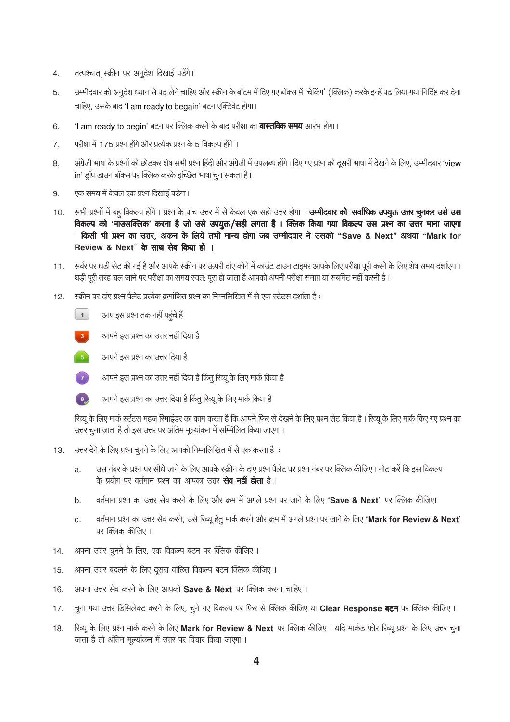- तत्पश्चात् स्क्रीन पर अनूदेश दिखाई पडेंगे।  $4.$
- उम्मीदवार को अनुदेश ध्यान से पढ़ लेने चाहिए और स्क्रीन के बॉटम में दिए गए बॉक्स में 'चेकिंग' (क्लिक) करके इन्हें पढ लिया गया निर्दिष्ट कर देना 5. चाहिए, उसके बाद 'I am ready to begain' बटन एक्टिवेट होगा।
- 'I am ready to begin' बटन पर क्लिक करने के बाद परीक्षा का **वास्तविक समय** आरंभ होगा। 6.
- $\overline{7}$ . परीक्षा में 175 प्रश्न होंगे और प्रत्येक प्रश्न के 5 विकल्प होंगे ।
- अंग्रेजी भाषा के प्रश्नों को छोड़कर शेष सभी प्रश्न हिंदी और अंग्रेजी में उपलब्ध होंगे। दिए गए प्रश्न को दूसरी भाषा में देखने के लिए, उम्मीदवार 'view 8. in' ड्रॉप डाउन बॉक्स पर क्लिक करके इच्छित भाषा चून सकता है।
- एक समय में केवल एक प्रश्न दिखाई पड़ेगा। 9.
- सभी प्रश्नों में बहू विकल्प होंगे। प्रश्न के पांच उत्तर में से केवल एक सही उत्तर होगा। **उम्मीदवार को सर्वाधिक उपयुक्त उत्तर चुनकर उसे उस**  $10.$ विकल्प को 'माउसक्लिक' करना है जो उसे उपयुक्त/सही लगता है। क्लिक किया गया विकल्प उस प्रश्न का उत्तर माना जाएगा । किसी भी प्रश्न का उत्तर, अंकन के लिये तभी मान्य होगा जब उम्मीदवार ने उसको "Save & Next" अथवा "Mark for Review & Next" के साथ सेव किया हो ।
- सर्वर पर घड़ी सेट की गई है और आपके स्क्रीन पर ऊपरी दांए कोने में काउंट डाउन टाइमर आपके लिए परीक्षा पूरी करने के लिए शेष समय दर्शाएगा।  $11.$ घड़ी पूरी तरह चल जाने पर परीक्षा का समय स्वत: पूरा हो जाता है आपको अपनी परीक्षा समाप्त या सबमिट नहीं करनी है।
- स्क्रीन पर दांए प्रश्न पैलेट प्रत्येक क्रमांकित प्रश्न का निम्नलिखित में से एक स्टेटस दर्शाता है :  $12.$ 
	- $\begin{bmatrix} 1 \end{bmatrix}$ आप इस प्रश्न तक नहीं पहंचे हैं
	- $3<sub>1</sub>$ आपने इस प्रश्न का उत्तर नहीं दिया है





 $\left(9\right)$ 

आपने इस प्रश्न का उत्तर दिया है किंतू रिव्यू के लिए मार्क किया है

आपने इस प्रश्न का उत्तर नहीं दिया है किंतु रिव्यू के लिए मार्क किया है

रिव्यू के लिए मार्क स्टॅटस महज रिमाइंडर का काम करता है कि आपने फिर से देखने के लिए प्रश्न सेट किया है। रिव्यू के लिए मार्क किए गए प्रश्न का उत्तर चुना जाता है तो इस उत्तर पर अंतिम मुल्यांकन में सम्मिलित किया जाएगा।

- उत्तर देने के लिए प्रश्न चूनने के लिए आपको निम्नलिखित में से एक करना है:  $13.$ 
	- उस नंबर के प्रश्न पर सीधे जाने के लिए आपके स्क्रीन के दांए प्रश्न पैलेट पर प्रश्न नंबर पर क्लिक कीजिए। नोट करें कि इस विकल्प a. के प्रयोग पर वर्तमान प्रश्न का आपका उत्तर **सेव नहीं होता** है ।
	- वर्तमान प्रश्न का उत्तर सेव करने के लिए और क्रम में अगले प्रश्न पर जाने के लिए 'Save & Next' पर क्लिक कीजिए। b.
	- वर्तमान प्रश्न का उत्तर सेव करने, उसे रिव्यू हेतु मार्क करने और क्रम में अगले प्रश्न पर जाने के लिए 'Mark for Review & Next' c. पर क्लिक कीजिए ।
- अपना उत्तर चनने के लिए. एक विकल्प बटन पर क्लिक कीजिए ।  $14.$
- अपना उत्तर बदलने के लिए दूसरा वांछित विकल्प बटन क्लिक कीजिए ।  $15.$
- अपना उत्तर सेव करने के लिए आपको Save & Next पर क्लिक करना चाहिए ।  $16.$
- चूना गया उत्तर डिसिलेक्ट करने के लिए, चूने गए विकल्प पर फिर से क्लिक कीजिए या Clear Response बटन पर क्लिक कीजिए।  $17.$
- रिव्यू के लिए प्रश्न मार्क करने के लिए Mark for Review & Next पर क्लिक कीजिए। यदि मार्कड फोर रिव्यू प्रश्न के लिए उत्तर चुना  $18.$ जाता है तो अंतिम मूल्यांकन में उत्तर पर विचार किया जाएगा ।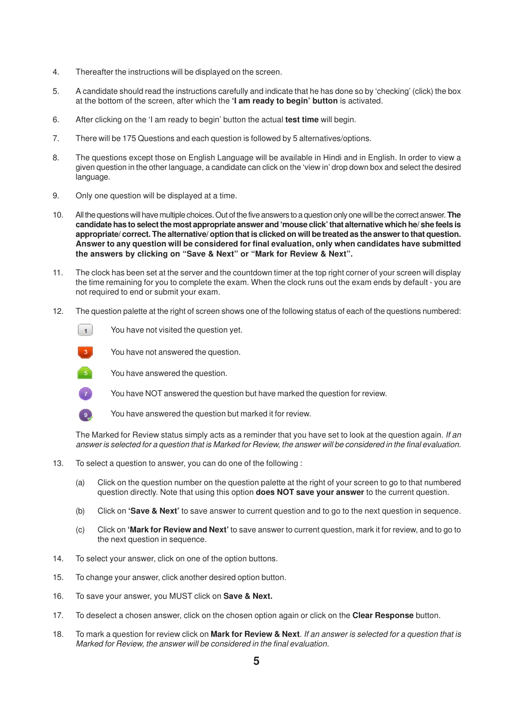- 4. Thereafter the instructions will be displayed on the screen.
- 5. A candidate should read the instructions carefully and indicate that he has done so by 'checking' (click) the box at the bottom of the screen, after which the **'I am ready to begin' button** is activated.
- 6. After clicking on the 'I am ready to begin' button the actual **test time** will begin.
- 7. There will be 175 Questions and each question is followed by 5 alternatives/options.
- 8. The questions except those on English Language will be available in Hindi and in English. In order to view a given question in the other language, a candidate can click on the 'view in' drop down box and select the desired language.
- 9. Only one question will be displayed at a time.
- 10. All the questions will have multiple choices. Out of the five answers to a question only one will be the correct answer. **The candidate has to select the most appropriate answer and 'mouse click' that alternative which he/ she feels is appropriate/ correct. The alternative/ option that is clicked on will be treated as the answer to that question. Answer to any question will be considered for final evaluation, only when candidates have submitted the answers by clicking on "Save & Next" or "Mark for Review & Next".**
- 11. The clock has been set at the server and the countdown timer at the top right corner of your screen will display the time remaining for you to complete the exam. When the clock runs out the exam ends by default - you are not required to end or submit your exam.
- 12. The question palette at the right of screen shows one of the following status of each of the questions numbered:
	- $\vert$  1 You have not visited the question yet.



You have not answered the question.



You have answered the question.

You have NOT answered the question but have marked the question for review.



 $\left( 7\right)$ 

You have answered the question but marked it for review.

The Marked for Review status simply acts as a reminder that you have set to look at the question again. If an answer is selected for a question that is Marked for Review, the answer will be considered in the final evaluation.

- 13. To select a question to answer, you can do one of the following :
	- (a) Click on the question number on the question palette at the right of your screen to go to that numbered question directly. Note that using this option **does NOT save your answer** to the current question.
	- (b) Click on **'Save & Next'** to save answer to current question and to go to the next question in sequence.
	- (c) Click on **'Mark for Review and Next'** to save answer to current question, mark it for review, and to go to the next question in sequence.
- 14. To select your answer, click on one of the option buttons.
- 15. To change your answer, click another desired option button.
- 16. To save your answer, you MUST click on **Save & Next.**
- 17. To deselect a chosen answer, click on the chosen option again or click on the **Clear Response** button.
- 18. To mark a question for review click on **Mark for Review & Next**. If an answer is selected for a question that is Marked for Review, the answer will be considered in the final evaluation.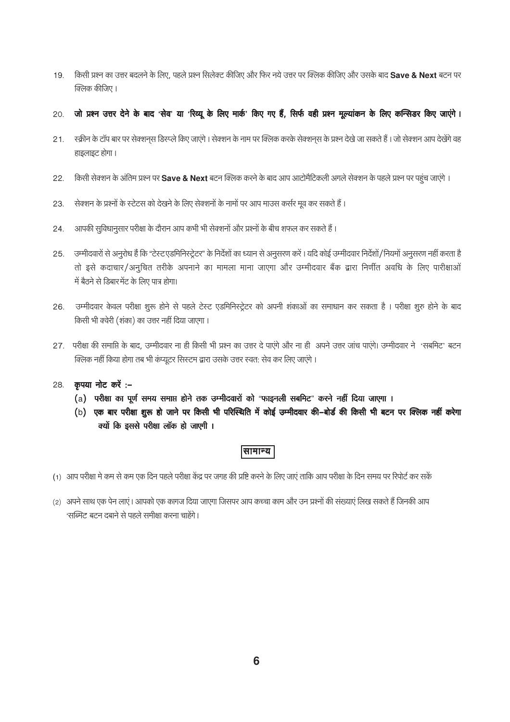- किसी प्रश्न का उत्तर बदलने के लिए, पहले प्रश्न सिलेक्ट कीजिए और फिर नये उत्तर पर क्लिक कीजिए और उसके बाद Save & Next बटन पर  $19.$ क्लिक कीजिए ।
- जो प्रश्न उत्तर देने के बाद 'सेव' या 'रिव्यू के लिए मार्क' किए गए हैं, सिर्फ वही प्रश्न मूल्यांकन के लिए कन्सिडर किए जाएंगे। 20.
- स्क्रीन के टॉप बार पर सेक्शनस डिस्प्ले किए जाएंगे। सेक्शन के नाम पर क्लिक करके सेक्शनस के प्रश्न देखे जा सकते हैं। जो सेक्शन आप देखेंगे वह  $21.$ हाइलाइट होगा।
- किसी सेक्शन के अंतिम प्रश्न पर Save & Next बटन क्लिक करने के बाद आप आटोमैटिकली अगले सेक्शन के पहले प्रश्न पर पहुंच जाएंगे । 22.
- सेक्शन के प्रश्नों के स्टेटस को देखने के लिए सेक्शनों के नामों पर आप माउस कर्सर मूव कर सकते हैं। 23
- आपकी सुविधानुसार परीक्षा के दौरान आप कभी भी सेक्शनों और प्रश्नों के बीच शफल कर सकते हैं। 24.
- उम्मीदवारों से अनुरोध हैं कि "टेस्टएडमिनिस्ट्रेटर" के निर्देशों का ध्यान से अनुसरण करें। यदि कोई उम्मीदवार निर्देशों/नियमों अनुसरण नहीं करता है  $25.$ तो इसे कदाचार/अनुचित तरीके अपनाने का मामला माना जाएगा और उम्मीदवार बैंक द्वारा निर्णीत अवधि के लिए पारीक्षाओं में बैठने से डिबारमेंट के लिए पात्र होगा।
- उम्मीदवार केवल परीक्षा शुरू होने से पहले टेस्ट एडमिनिस्ट्रेटर को अपनी शंकाओं का समाधान कर सकता है । परीक्षा शुरु होने के बाद 26. किसी भी क्वेरी (शंका) का उत्तर नहीं दिया जाएगा।
- 27. परीक्षा की समाप्ति के बाद, उम्मीदवार ना ही किसी भी प्रश्न का उत्तर दे पाएंगे और ना ही अपने उत्तर जांच पाएंगे। उम्मीदवार ने 'सबमिट' बटन क्लिक नहीं किया होगा तब भी कंप्यूटर सिस्टम द्वारा उसके उत्तर स्वत: सेव कर लिए जाएंगे।
- 28. कृपया नोट करें :-
	- (a) परीक्षा का पूर्ण समय समाप्त होने तक उम्मीदवारों को "फाइनली सबमिट" करने नहीं दिया जाएगा ।
	- (b) एक बार परीक्षा शुरू हो जाने पर किसी भी परिस्थिति में कोई उम्मीदवार की-बोर्ड की किसी भी बटन पर क्लिक नहीं करेगा क्यों कि इससे परीक्षा लॉक हो जाएगी ।

### सामान्य |

- (1) आप परीक्षा मे कम से कम एक दिन पहले परीक्षा केंद्र पर जगह की प्रष्टि करने के लिए जाएं ताकि आप परीक्षा के दिन समय पर रिपोर्ट कर सकें
- (2) अपने साथ एक पेन लाएं। आपको एक कागज दिया जाएगा जिसपर आप कच्चा काम और उन प्रश्नों की संख्याएं लिख सकते हैं जिनकी आप 'सब्मिट' बटन दबाने से पहले समीक्षा करना चाहेंगे।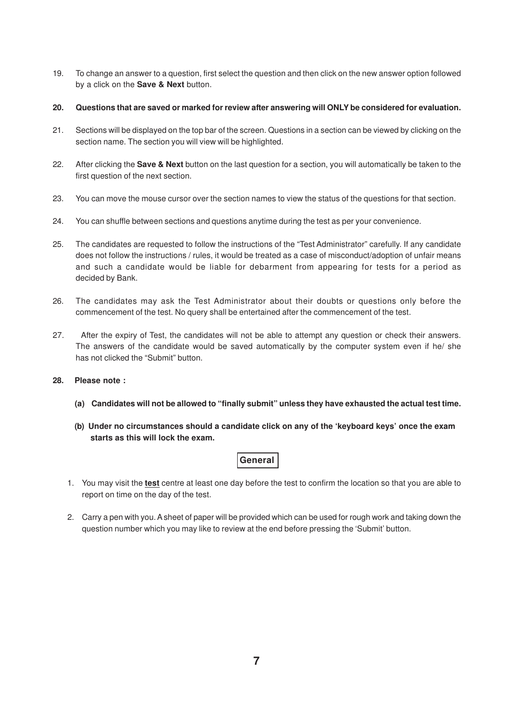- 19. To change an answer to a question, first select the question and then click on the new answer option followed by a click on the **Save & Next** button.
- **20. Questions that are saved or marked for review after answering will ONLY be considered for evaluation.**
- 21. Sections will be displayed on the top bar of the screen. Questions in a section can be viewed by clicking on the section name. The section you will view will be highlighted.
- 22. After clicking the **Save & Next** button on the last question for a section, you will automatically be taken to the first question of the next section.
- 23. You can move the mouse cursor over the section names to view the status of the questions for that section.
- 24. You can shuffle between sections and questions anytime during the test as per your convenience.
- 25. The candidates are requested to follow the instructions of the "Test Administrator" carefully. If any candidate does not follow the instructions / rules, it would be treated as a case of misconduct/adoption of unfair means and such a candidate would be liable for debarment from appearing for tests for a period as decided by Bank.
- 26. The candidates may ask the Test Administrator about their doubts or questions only before the commencement of the test. No query shall be entertained after the commencement of the test.
- 27. After the expiry of Test, the candidates will not be able to attempt any question or check their answers. The answers of the candidate would be saved automatically by the computer system even if he/ she has not clicked the "Submit" button.
- **28. Please note :**
	- **(a) Candidates will not be allowed to "finally submit" unless they have exhausted the actual test time.**
	- **(b) Under no circumstances should a candidate click on any of the 'keyboard keys' once the exam starts as this will lock the exam.**

### **General**

- 1. You may visit the **test** centre at least one day before the test to confirm the location so that you are able to report on time on the day of the test.
- 2. Carry a pen with you. A sheet of paper will be provided which can be used for rough work and taking down the question number which you may like to review at the end before pressing the 'Submit' button.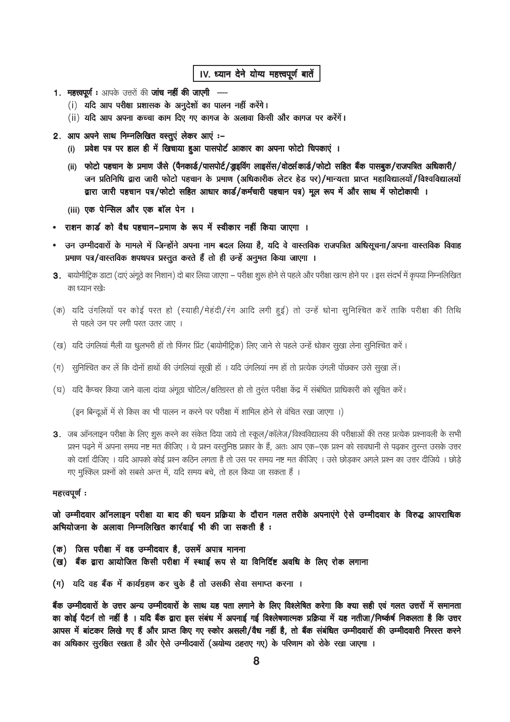### IV. ध्यान देने योग्य महत्त्वपूर्ण बातें

- 1. महत्त्वपूर्ण: आपके उत्तरों की जांच नहीं की जाएगी ·
	- (i) यदि आप परीक्षा प्रशासक के अनूदेशों का पालन नहीं करेंगे।
	- (ii) यदि आप अपना कच्चा काम दिए गए कागज के अलावा किसी और कागज पर करेंगें।
- 2. आप अपने साथ निम्नलिखित वस्तुएं लेकर आएं :-
	- (i) प्रवेश पत्र पर हाल ही में खिचाया हुआ पासपोर्ट आकार का अपना फोटो चिपकाएं ।
	- (ii) फोटो पहचान के प्रमाण जैसे (पैनकार्ड/पासपोर्ट/ख़ड़विंग लाइसेंस/वोर्ट्सकार्ड/फोटो सहित बैंक पासबुक/राजपत्रित अधिकारी/ जन प्रतिनिधि द्वारा जारी फोटो पहचान के प्रमाण (अधिकारीक लेटर हेड पर)/मान्यता प्राप्त महाविद्यालयों/विश्वविद्यालयों द्वारा जारी पहचान पत्र/फोटो सहित आधार कार्ड/कर्मचारी पहचान पत्र) मूल रूप में और साथ में फोटोकापी ।
	- (iii) एक पेन्सिल और एक बॉल पेन ।
- राशन कार्ड को वैध पहचान–प्रमाण के रूप में स्वीकार नहीं किया जाएगा ।
- उन उम्मीदवारों के मामले में जिन्होंने अपना नाम बदल लिया है, यदि वे वास्तविक राजपत्रित अधिसूचना/अपना वास्तविक विवाह प्रमाण पत्र/वास्तविक शपथपत्र प्रस्तुत करते हैं तो ही उन्हें अनुमत किया जाएगा ।
- 3. बायोमीट्रिक डाटा (दाएं अंगूठे का निशान) दो बार लिया जाएगा परीक्षा शुरू होने से पहले और परीक्षा खत्म होने पर । इस संदर्भ में कृपया निम्नलिखित का ध्यान रखे:
- (क) यदि उंगलियों पर कोई परत हो (स्याही/मेहंदी/रंग आदि लगी हुई) तो उन्हें धोना सुनिश्चित करें ताकि परीक्षा की तिथि से पहले उन पर लगी परत उतर जाए ।
- (ख) यदि उंगलियां मैली या धूलभरी हों तो फिंगर प्रिंट (बायोमीट्रिक) लिए जाने से पहले उन्हें धोकर सूखा लेना सूनिश्चित करें।
- (ग) सुनिश्चित कर लें कि दोनों हाथों की उंगलियां सूखी हों । यदि उंगलियां नम हों तो प्रत्येक उंगली पोंछकर उसे सुखा लें।
- (घ) यदि कैप्चर किया जाने वाला दांया अंगूठा चोटिल/क्षतिग्रस्त हो तो तुरंत परीक्षा केंद्र में संबंधित प्राधिकारी को सूचित करें।

(इन बिन्दूओं में से किस का भी पालन न करने पर परीक्षा में शामिल होने से वंचित रखा जाएगा ।)

3. जब ऑनलाइन परीक्षा के लिए शूरू करने का संकेत दिया जाये तो स्कूल/कॉलेज/विश्वविद्यालय की परीक्षाओं की तरह प्रत्येक प्रश्नावली के सभी प्रश्न पढ़ने में अपना समय नष्ट मत कीजिए । ये प्रश्न वस्तुनिष्ठ प्रकार के हैं, अतः आप एक–एक प्रश्न को सावधानी से पढ़कर तूरन्त उसके उत्तर को दर्शा दीजिए । यदि आपको कोई प्रश्न कठिन लगता है तो उस पर समय नष्ट मत कीजिए । उसे छोड़कर अगले प्रश्न का उत्तर दीजिये । छोड़े गए मुश्किल प्रश्नों को सबसे अन्त में, यदि समय बचे, तो हल किया जा सकता हैं।

#### महत्त्वपूर्ण:

जो उम्मीदवार ऑनलाइन परीक्षा या बाद की चयन प्रक्रिया के दौरान गलत तरीके अपनाएंगे ऐसे उम्मीदवार के विरुद्ध आपराधिक अभियोजना के अलावा निम्नलिखित कार्रवाई भी की जा सकती है:

- (क) जिस परीक्षा में वह उम्मीदवार है, उसमें अपात्र मानना
- (ख) बैंक द्वारा आयोजित किसी परीक्षा में स्थाई रूप से या विनिर्दिष्ट अवधि के लिए रोक लगाना
- (ग) यदि वह बैंक में कार्यग्रहण कर चुके है तो उसकी सेवा समाप्त करना ।

बैंक उम्मीदवारों के उत्तर अन्य उम्मीदवारों के साथ यह पता लगाने के लिए विश्लेषित करेगा कि क्या सही एवं गलत उत्तरों में समानता का कोई पैटर्न तो नहीं है । यदि बैंक द्वारा इस संबंध में अपनाई गई विश्लेषणात्मक प्रक्रिया में यह नतीजा/निष्कर्ष निकलता है कि उत्तर आपस में बांटकर लिखे गए हैं और प्राप्त किए गए स्कोर असली/वैध नहीं है, तो बैंक संबंधित उम्मीदवारों की उम्मीदवारी निरस्त करने का अधिकार सुरक्षित रखता है और ऐसे उम्मीदवारों (अयोग्य ठहराए गए) के परिणाम को रोके रखा जाएगा ।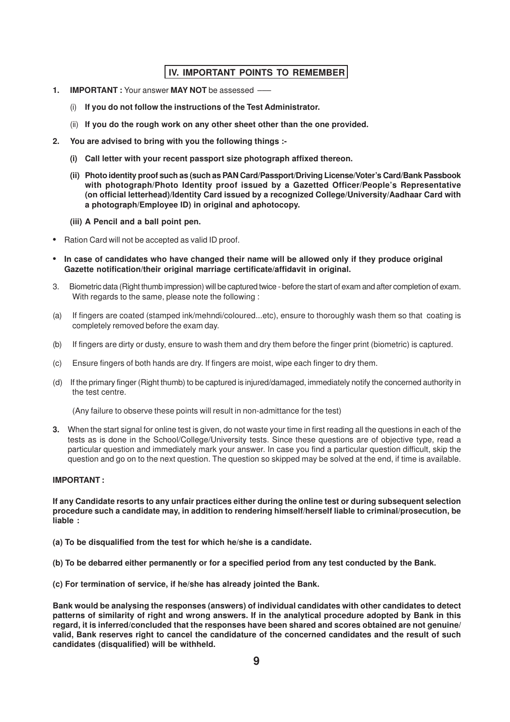### **IV. IMPORTANT POINTS TO REMEMBER**

- **1. IMPORTANT :** Your answer **MAY NOT** be assessed –––
	- (i) **If you do not follow the instructions of the Test Administrator.**
	- (ii) **If you do the rough work on any other sheet other than the one provided.**
- **2. You are advised to bring with you the following things :-**
	- **(i) Call letter with your recent passport size photograph affixed thereon.**
	- **(ii) Photo identity proof such as (such as PAN Card/Passport/Driving License/Voter's Card/Bank Passbook with photograph/Photo Identity proof issued by a Gazetted Officer/People's Representative (on official letterhead)/Identity Card issued by a recognized College/University/Aadhaar Card with a photograph/Employee ID) in original and aphotocopy.**
	- **(iii) A Pencil and a ball point pen.**
- **•** Ration Card will not be accepted as valid ID proof.
- **• In case of candidates who have changed their name will be allowed only if they produce original Gazette notification/their original marriage certificate/affidavit in original.**
- 3. Biometric data (Right thumb impression) will be captured twice before the start of exam and after completion of exam. With regards to the same, please note the following :
- (a) If fingers are coated (stamped ink/mehndi/coloured...etc), ensure to thoroughly wash them so that coating is completely removed before the exam day.
- (b) If fingers are dirty or dusty, ensure to wash them and dry them before the finger print (biometric) is captured.
- (c) Ensure fingers of both hands are dry. If fingers are moist, wipe each finger to dry them.
- (d) If the primary finger (Right thumb) to be captured is injured/damaged, immediately notify the concerned authority in the test centre.

(Any failure to observe these points will result in non-admittance for the test)

**3.** When the start signal for online test is given, do not waste your time in first reading all the questions in each of the tests as is done in the School/College/University tests. Since these questions are of objective type, read a particular question and immediately mark your answer. In case you find a particular question difficult, skip the question and go on to the next question. The question so skipped may be solved at the end, if time is available.

#### **IMPORTANT :**

**If any Candidate resorts to any unfair practices either during the online test or during subsequent selection procedure such a candidate may, in addition to rendering himself/herself liable to criminal/prosecution, be liable :**

- **(a) To be disqualified from the test for which he/she is a candidate.**
- **(b) To be debarred either permanently or for a specified period from any test conducted by the Bank.**
- **(c) For termination of service, if he/she has already jointed the Bank.**

**Bank would be analysing the responses (answers) of individual candidates with other candidates to detect patterns of similarity of right and wrong answers. If in the analytical procedure adopted by Bank in this regard, it is inferred/concluded that the responses have been shared and scores obtained are not genuine/ valid, Bank reserves right to cancel the candidature of the concerned candidates and the result of such candidates (disqualified) will be withheld.**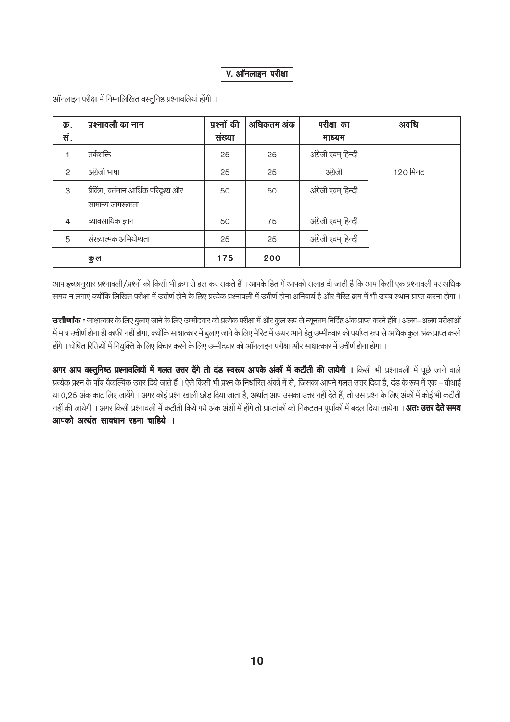### V. ऑनलाइन परीक्षा

| क्र.<br>सं.    | प्रश्नावली का नाम                                       | प्रश्नों की<br>संख्या | अधिकतम अंक | परीक्षा का<br>माध्यम | अवधि     |
|----------------|---------------------------------------------------------|-----------------------|------------|----------------------|----------|
|                | तर्कशक्ति                                               | 25                    | 25         | अंग्रेजी एवम् हिन्दी |          |
| $\mathfrak{p}$ | अंग्रेजी भाषा                                           | 25                    | 25         | अंग्रेजी             | 120 मिनट |
| 3              | बैंकिंग, वर्तमान आर्थिक परिदृश्य और<br>सामान्य जागरूकता | 50                    | 50         | अंग्रेजी एवम् हिन्दी |          |
| 4              | व्यावसायिक ज्ञान                                        | 50                    | 75         | अंग्रेजी एवम् हिन्दी |          |
| 5              | संख्यात्मक अभियोग्यता                                   | 25                    | 25         | अंग्रेजी एवम् हिन्दी |          |
|                | कु ल                                                    | 175                   | 200        |                      |          |

ऑनलाइन परीक्षा में निम्नलिखित वस्तुनिष्ठ प्रश्नावलियां होंगी ।

आप इच्छानूसार प्रश्नावली/प्रश्नों को किसी भी क्रम से हल कर सकते हैं । आपके हित में आपको सलाह दी जाती है कि आप किसी एक प्रश्नावली पर अधिक समय न लगाएं क्योंकि लिखित परीक्षा में उत्तीर्ण होने के लिए प्रत्येक प्रश्नावली में उत्तीर्ण होना अनिवार्य है और मैरिट क्रम में भी उच्च स्थान प्राप्त करना होगा ।

उत्तीर्णांक : साक्षात्कार के लिए बुलाए जाने के लिए उम्मीदवार को प्रत्येक परीक्षा में और कुल रूप से न्यूनतम निर्दिष्ट अंक प्राप्त करने होंगे। अलग–अलग परीक्षाओं में मात्र उत्तीर्ण होना ही काफी नहीं होगा, क्योंकि साक्षात्कार में बुलाए जाने के लिए मेरिट में ऊपर आने हेतु उम्मीदवार को पर्याप्त रूप से अधिक कुल अंक प्राप्त करने होंगे । घोषित रिक्तियों में नियुक्ति के लिए विचार करने के लिए उम्मीदवार को ऑनलाइन परीक्षा और साक्षात्कार में उत्तीर्ण होना होगा ।

अगर आप वस्तुनिष्ठ प्रश्नावलियों में गलत उत्तर देंगे तो दंड स्वरूप आपके अंकों में कटौती की जायेगी । किसी भी प्रश्नावली में पूछे जाने वाले प्रत्येक प्रश्न के पाँच वैकल्पिक उत्तर दिये जाते हैं । ऐसे किसी भी प्रश्न के निर्धारित अंकों में से, जिसका आपने गलत उत्तर दिया है, दंड के रूप में एक –चौथाई या 0.25 अंक काट लिए जायेंगे । अगर कोई प्रश्न खाली छोड़ दिया जाता है, अर्थात् आप उसका उत्तर नहीं देते हैं, तो उस प्रश्न के लिए अंकों में कोई भी कटौती नहीं की जायेगी । अगर किसी प्रश्नावली में कटौती किये गये अंक अंशों में होंगे तो प्राप्तांकों को निकटतम पूर्णांकों में बदल दिया जायेगा । **अतः उत्तर देते समय** आपको अत्यंत सावधान रहना चाहिये ।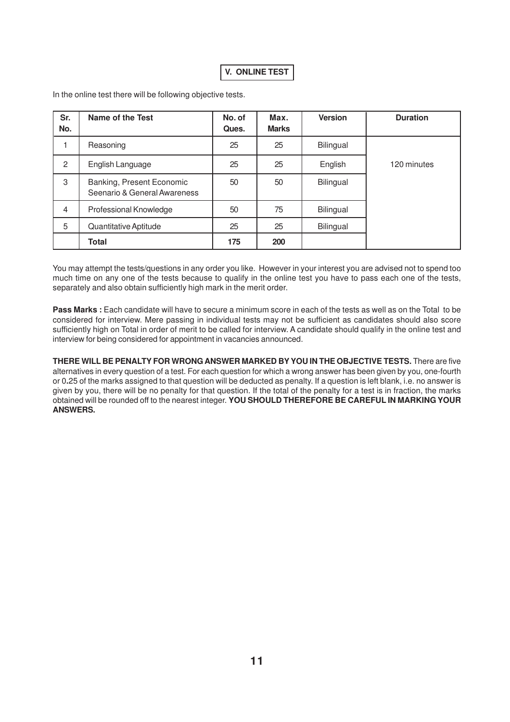### **V. ONLINE TEST**

In the online test there will be following objective tests.

| Sr.<br>No.     | <b>Name of the Test</b>                                   | No. of<br>Ques. | Max.<br><b>Marks</b> | <b>Version</b> | <b>Duration</b> |
|----------------|-----------------------------------------------------------|-----------------|----------------------|----------------|-----------------|
|                | Reasoning                                                 | 25              | 25                   | Bilingual      |                 |
| $\overline{2}$ | English Language                                          | 25              | 25                   | English        | 120 minutes     |
| 3              | Banking, Present Economic<br>Seenario & General Awareness | 50              | 50                   | Bilingual      |                 |
| $\overline{4}$ | Professional Knowledge                                    | 50              | 75                   | Bilingual      |                 |
| 5              | Quantitative Aptitude                                     | 25              | 25                   | Bilingual      |                 |
|                | <b>Total</b>                                              | 175             | 200                  |                |                 |

You may attempt the tests/questions in any order you like. However in your interest you are advised not to spend too much time on any one of the tests because to qualify in the online test you have to pass each one of the tests, separately and also obtain sufficiently high mark in the merit order.

Pass Marks : Each candidate will have to secure a minimum score in each of the tests as well as on the Total to be considered for interview. Mere passing in individual tests may not be sufficient as candidates should also score sufficiently high on Total in order of merit to be called for interview. A candidate should qualify in the online test and interview for being considered for appointment in vacancies announced.

**THERE WILL BE PENALTY FOR WRONG ANSWER MARKED BYYOU IN THE OBJECTIVE TESTS.** There are five alternatives in every question of a test. For each question for which a wrong answer has been given by you, one-fourth or 0**.**25 of the marks assigned to that question will be deducted as penalty. If a question is left blank, i.e. no answer is given by you, there will be no penalty for that question. If the total of the penalty for a test is in fraction, the marks obtained will be rounded off to the nearest integer. **YOU SHOULD THEREFORE BE CAREFUL IN MARKING YOUR ANSWERS.**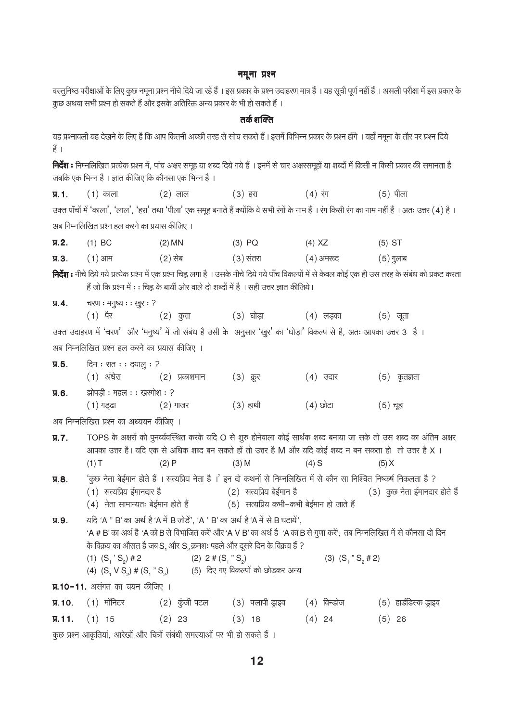#### नमूना प्रश्न

वस्तुनिष्ठ परीक्षाओं के लिए कुछ नमूना प्रश्न नीचे दिये जा रहे हैं । इस प्रकार के प्रश्न उदाहरण मात्र हैं । यह सूची पूर्ण नहीं हैं । असली परीक्षा में इस प्रकार के कुछ अथवा सभी प्रश्न हो सकते हैं और इसके अतिरिक्त अन्य प्रकार के भी हो सकते हैं ।

### तर्क शक्ति

यह प्रश्नावली यह देखने के लिए है कि आप कितनी अच्छी तरह से सोच सकते हैं। इसमें विभिन्न प्रकार के प्रश्न होंगे। यहाँ नमूना के तौर पर प्रश्न दिये हैं ।

निर्देश : निम्नलिखित प्रत्येक प्रश्न में, पांच अक्षर समूह या शब्द दिये गये हैं । इनमें से चार अक्षरसमूहों या शब्दों में किसी न किसी प्रकार की समानता है जबकि एक भिन्न है । ज्ञात कीजिए कि कौनसा एक भिन्न है ।

| $\Pi.1$ | काला | . २) लाल | (३) हरा | (४) रग | (5) पीला |
|---------|------|----------|---------|--------|----------|
|---------|------|----------|---------|--------|----------|

उक्त पाँचों में 'काला', 'लाल', 'हरा' तथा 'पीला' एक समूह बनाते हैं क्योंकि वे सभी रंगों के नाम हैं । रंग किसी रंग का नाम नहीं हैं । अतः उत्तर (4) है । अब निम्नलिखित प्रश्न हल करने का प्रयास कीजिए ।

| $\Pi.2.$ | $(1)$ BC | $(2)$ MN | $(3)$ PQ  | $(4)$ XZ    | $(5)$ ST  |
|----------|----------|----------|-----------|-------------|-----------|
| $\Pi.3.$ | ( 1 ) आम | (2) सेब  | (3) संतरा | ( 4 ) अमरूद | (5) गुलाब |

**निर्देश :** नीचे दिये गये प्रत्येक प्रश्न में एक प्रश्न चिह्न लगा है । उसके नीचे दिये गये पाँच विकल्पों में से केवल कोई एक ही उस तरह के संबंध को प्रकट करता हैं जो कि प्रश्न में : : चिह्न के बायीं ओर वाले दो शब्दों में है । सही उत्तर ज्ञात कीजिये।

चरण: मनुष्य: : खुर: ?  $\Pi.4.$ 

> $(1)$  पैर (३) घोडा (4) लडका  $(2)$  कुत्ता  $(5)$  जूता

उक्त उदाहरण में 'चरण' और 'मनुष्य' में जो संबंध है उसी के अनुसार 'खुर' का 'घोड़ा' विकल्प से है, अतः आपका उत्तर 3 है। अब निम्नलिखित प्रश्न हल करने का प्रयास कीजिए ।

| $\Pi.5.$ | दिन ः रात ः ः दयालु ः ?    |               |             |          |              |
|----------|----------------------------|---------------|-------------|----------|--------------|
|          | (1) अंधेरा                 | (२) प्रकाशमान | $(3)$ क्रूर | (४) उदार | (5) कृतज्ञता |
| $\Pi.6.$ | झोपड़ी ः महल ः ः खरगोश ः ? |               |             |          |              |
|          | ( 1 ) गड्ढा                | (2) गाजर      | $(3)$ हाथी  | (4) छोटा | (5) चूहा     |

अब निम्नलिखित प्रश्न का अध्ययन कीजिए ।

 $\Pi$ .  $\mathbf{7}$ . TOPS के अक्षरों को पूनर्व्यवस्थित करके यदि O से शूरु होनेवाला कोई सार्थक शब्द बनाया जा सके तो उस शब्द का अंतिम अक्षर आपका उत्तर है। यदि एक से अधिक शब्द बन सकते हों तो उत्तर है M और यदि कोई शब्द न बन सकता हो तो उत्तर है X ।  $(1)T$  $(2)P$  $(3)$  M  $(4)$  S  $(5) X$ 

'कूछ नेता बेई़मान होते हैं । सत्यप्रिय नेता है ।' इन दो कथनों से निम्नलिखित में से कौन सा निश्चित निष्कर्ष निकलता है ?  $\Pi.8.$  $(1)$  सत्यप्रिय ईमानदार है (2) सत्यप्रिय बेईमान है (3) कुछ नेता ईमानदार होते हैं

(4) नेता सामान्यतः बेईमान होते हैं (5) सत्यप्रिय कभी–कभी बेईमान हो जाते हैं

यदि 'A " B' का अर्थ है 'A में B जोड़ें'. 'A ' B' का अर्थ है 'A में से B घटायें'.  $\Pi.9.$ 'A # B' का अर्थ है 'A को B से विभाजित करें' और 'A V B' का अर्थ है 'A का B से गुणा करें'; तब निम्नलिखित में से कौनसा दो दिन के विक्रय का औसत है जब S, और S, क्रमशः पहले और दूसरे दिन के विक्रय हैं ? (1)  $(S_1 \text{' } S_2) \# 2$ (2)  $2 \# (S_1 " S_2)$ (3)  $(S_1 " S_2 # 2)$ 

(5) दिए गए विकल्पों को छोडकर अन्य (4)  $(S, V S_2)$  #  $(S_1 " S_2)$ 

**प्र.10-11.** असंगत का चयन कीजिए ।

| $\Pi$ . 10. $(1)$ मॉनिटर    | (2) कुंजी पटल | (३) फ्लापी ड्राइव         (4)  विन्डोज |          | (5) हार्डडिस्क ड्राइव |
|-----------------------------|---------------|----------------------------------------|----------|-----------------------|
| $\overline{y}$ . 11. (1) 15 | $(2)$ 23      | $(3)$ 18                               | $(4)$ 24 | $(5)$ 26              |
|                             |               |                                        |          |                       |

कुछ प्रश्न आकृतियां, आरेखों और चित्रों संबंधी समस्याओं पर भी हो सकते हैं ।

 $12$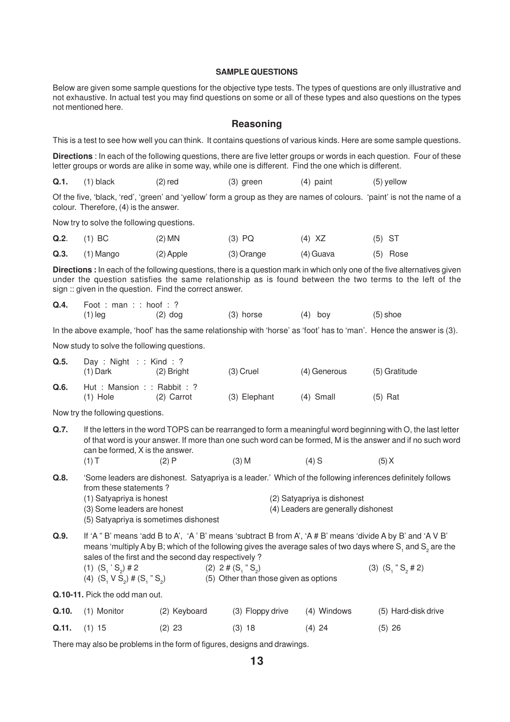#### **SAMPLE QUESTIONS**

Below are given some sample questions for the objective type tests. The types of questions are only illustrative and not exhaustive. In actual test you may find questions on some or all of these types and also questions on the types not mentioned here.

#### **Reasoning**

This is a test to see how well you can think. It contains questions of various kinds. Here are some sample questions.

**Directions** : In each of the following questions, there are five letter groups or words in each question. Four of these letter groups or words are alike in some way, while one is different. Find the one which is different.

**Q.1.** (1) black (2) red (3) green (4) paint (5) yellow

Of the five, 'black, 'red', 'green' and 'yellow' form a group as they are names of colours. 'paint' is not the name of a colour. Therefore, (4) is the answer.

Now try to solve the following questions.

|      | $Q.2.$ (1) BC | $(2)$ MN  | $(3)$ PQ   | (4) XZ    | $(5)$ ST |            |
|------|---------------|-----------|------------|-----------|----------|------------|
| Q.3. | (1) Mango     | (2) Apple | (3) Orange | (4) Guava |          | $(5)$ Rose |

**Directions :** In each of the following questions, there is a question mark in which only one of the five alternatives given under the question satisfies the same relationship as is found between the two terms to the left of the sign :: given in the question. Find the correct answer.

| Q.4. | Foot : man : : hoof : ? |           |             |         |            |  |  |
|------|-------------------------|-----------|-------------|---------|------------|--|--|
|      | $(1)$ leg               | $(2)$ dog | $(3)$ horse | (4) boy | $(5)$ shoe |  |  |

In the above example, 'hoof' has the same relationship with 'horse' as 'foot' has to 'man'. Hence the answer is (3).

Now study to solve the following questions.

| Q.5. | Day : Night : : Kind : ?<br>$(1)$ Dark     | (2) Bright   | $(3)$ Cruel  | (4) Generous | (5) Gratitude |
|------|--------------------------------------------|--------------|--------------|--------------|---------------|
| Q.6. | Hut : Mansion : : Rabbit : ?<br>$(1)$ Hole | $(2)$ Carrot | (3) Elephant | $(4)$ Small  | $(5)$ Rat     |

Now try the following questions.

**Q.7.** If the letters in the word TOPS can be rearranged to form a meaningful word beginning with O, the last letter of that word is your answer. If more than one such word can be formed, M is the answer and if no such word can be formed, X is the answer. (1) T (2) P (3) M (4) S (5) X

**Q.8.** 'Some leaders are dishonest. Satyapriya is a leader.' Which of the following inferences definitely follows from these statements ? (1) Satyapriya is honest (2) Satyapriya is dishonest

- (3) Some leaders are honest (4) Leaders are generally dishonest
- (5) Satyapriya is sometimes dishonest
- **Q.9.** If 'A " B' means 'add B to A', 'A ' B' means 'subtract B from A', 'A # B' means 'divide A by B' and 'A V B' means 'multiply A by B; which of the following gives the average sales of two days where S<sub>1</sub> and S<sub>2</sub> are the sales of the first and the second day respectively ?

| $(1)$ $(S_1 S_2)$ # 2                     | $(2)$ 2 # $(S, "S)$                   | (3) $(S_1 " S_2 # 2)$ |
|-------------------------------------------|---------------------------------------|-----------------------|
| (4) $(S_1 \vee S_2)$ # $(S_1 \wedge S_2)$ | (5) Other than those given as options |                       |

**Q.10-11.** Pick the odd man out.

| <b>Q.10.</b> (1) Monitor | (2) Keyboard | (3) Floppy drive (4) Windows |          | (5) Hard-disk drive |
|--------------------------|--------------|------------------------------|----------|---------------------|
| $Q.11.$ (1) 15           | $(2)$ 23     | $(3)$ 18                     | $(4)$ 24 | $(5)$ 26            |

There may also be problems in the form of figures, designs and drawings.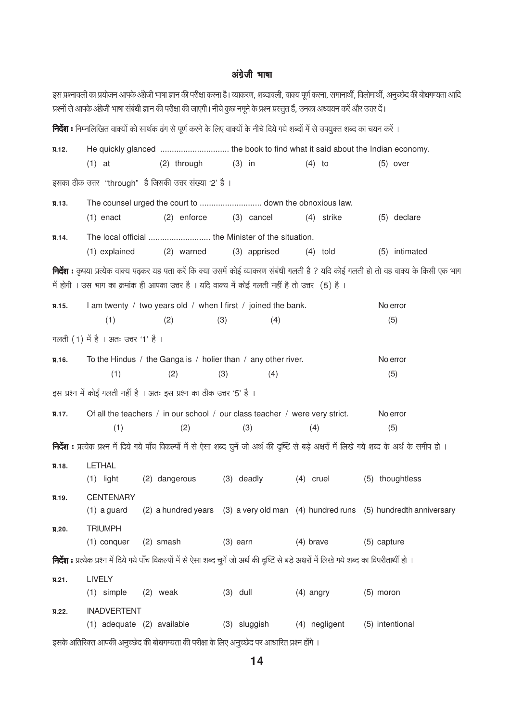#### अंग्रेजी भाषा

इस प्रश्नावली का प्रयोजन आपके अंग्रेजी भाषा ज्ञान की परीक्षा करना है। व्याकरण, शब्दावली, वाक्य पूर्ण करना, समानार्थी, विलोमार्थी, अनुच्छेद की बोधगम्यता आदि प्रश्नों से आपके अंग्रेजी भाषा संबंधी ज्ञान की परीक्षा की जाएगी। नीचे कुछ नमने के प्रश्न प्रस्तुत हैं, उनका अध्ययन करें और उत्तर दें।

**निर्देश :** निम्नलिखित वाक्यों को सार्थक ढंग से पूर्ण करने के लिए वाक्यों के नीचे दिये गये शब्दों में से उपयुक्त शब्द का चयन करें ।  $\Pi$ . 12.  $(1)$  at (2) through  $(3)$  in  $(4)$  to  $(5)$  over इसका ठीक उत्तर "through" है जिसकी उत्तर संख्या '2' है ।  $\Pi.13.$  $(5)$  declare  $(1)$  enact (2) enforce (3) cancel (4) strike  $\Psi$ . 14. (2) warned  $(4)$  told (5) intimated (1) explained (3) apprised **निर्देश :** कृपया प्रत्येक वाक्य पढ़कर यह पता करें कि क्या उसमें कोई व्याकरण संबंधी गलती है ? यदि कोई गलती हो तो वह वाक्य के किसी एक भाग में होगी । उस भाग का क्रमांक ही आपका उत्तर है । यदि वाक्य में कोई गलती नहीं है तो उत्तर (5) है ।  $\Psi$ . 15. I am twenty / two years old / when I first / joined the bank. No error  $(1)$  $(2)$  $(3)$  $(4)$  $(5)$ गलती (1) में है । अतः उत्तर '1' है ।  $\Pi.16.$ To the Hindus / the Ganga is / holier than / any other river. No error  $(2)$  $(4)$  $(5)$  $(1)$  $(3)$ इस प्रश्न में कोई गलती नहीं है । अतः इस प्रश्न का ठीक उत्तर '5' है । Of all the teachers / in our school / our class teacher / were very strict.  $\Pi$ . 17. No error  $(3)$  $(4)$  $(5)$  $(1)$  $(2)$ निर्देश : प्रत्येक प्रश्न में दिये गये पाँच विकल्पों में से ऐसा शब्द चुनें जो अर्थ की दृष्टि से बड़े अक्षरों में लिखे गये शब्द के अर्थ के समीप हो । **LETHAL**  $\Pi.18.$  $(1)$  light (2) dangerous (3) deadly  $(4)$  cruel (5) thoughtless **CENTENARY** Я.19.  $(1)$  a guard (2) a hundred years (3) a very old man (4) hundred runs (5) hundredth anniversary **TRIUMPH**  $\Pi$ , 20.  $(1)$  conquer  $(2)$  smash  $(3)$  earn  $(4)$  brave  $(5)$  capture **निर्देश :** प्रत्येक प्रश्न में दिये गये पाँच विकल्पों में से ऐसा शब्द चनें जो अर्थ की दृष्टि से बड़े अक्षरों में लिखे गये शब्द का विपरीतार्थी हो । LIVELY  $\Psi$ .21.  $(3)$  dull  $(1)$  simple  $(2)$  weak  $(4)$  angry  $(5)$  moron **INADVERTENT**  $\P$ .22. (1) adequate (2) available (3) sluggish (4) negligent (5) intentional इसके अतिरिक्त आपकी अनुच्छेद की बोधगम्यता की परीक्षा के लिए अनुच्छेद पर आधारित प्रश्न होंगे ।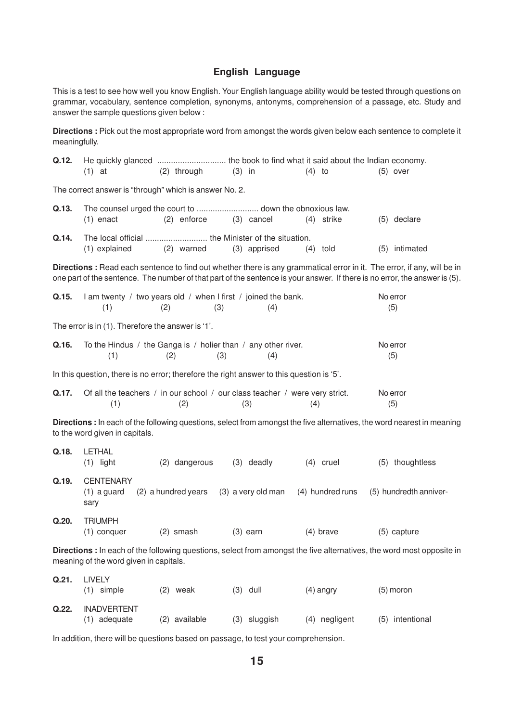## **English Language**

This is a test to see how well you know English. Your English language ability would be tested through questions on grammar, vocabulary, sentence completion, synonyms, antonyms, comprehension of a passage, etc. Study and answer the sample questions given below :

**Directions :** Pick out the most appropriate word from amongst the words given below each sentence to complete it meaningfully.

| Q.12. |                                                                                          |                     |                    |                  |                                                                                                                                                                                                                                                      |
|-------|------------------------------------------------------------------------------------------|---------------------|--------------------|------------------|------------------------------------------------------------------------------------------------------------------------------------------------------------------------------------------------------------------------------------------------------|
|       | $(1)$ at                                                                                 | (2) through         | $(3)$ in           | $(4)$ to         | $(5)$ over                                                                                                                                                                                                                                           |
|       | The correct answer is "through" which is answer No. 2.                                   |                     |                    |                  |                                                                                                                                                                                                                                                      |
| Q.13. |                                                                                          |                     |                    |                  |                                                                                                                                                                                                                                                      |
|       | $(1)$ enact                                                                              | $(2)$ enforce       | (3) cancel         | $(4)$ strike     | (5) declare                                                                                                                                                                                                                                          |
| Q.14. | (1) explained                                                                            | (2) warned          | (3) apprised       |                  | (5) intimated                                                                                                                                                                                                                                        |
|       |                                                                                          |                     |                    | $(4)$ told       |                                                                                                                                                                                                                                                      |
|       |                                                                                          |                     |                    |                  | Directions: Read each sentence to find out whether there is any grammatical error in it. The error, if any, will be in<br>one part of the sentence. The number of that part of the sentence is your answer. If there is no error, the answer is (5). |
| Q.15. | I am twenty / two years old / when I first / joined the bank.<br>(1)                     | (3)<br>(2)          | (4)                |                  | No error<br>(5)                                                                                                                                                                                                                                      |
|       |                                                                                          |                     |                    |                  |                                                                                                                                                                                                                                                      |
|       | The error is in (1). Therefore the answer is '1'.                                        |                     |                    |                  |                                                                                                                                                                                                                                                      |
| Q.16. | To the Hindus / the Ganga is / holier than / any other river.<br>(1)                     | (3)<br>(2)          | (4)                |                  | No error<br>(5)                                                                                                                                                                                                                                      |
|       | In this question, there is no error; therefore the right answer to this question is '5'. |                     |                    |                  |                                                                                                                                                                                                                                                      |
| Q.17. | Of all the teachers / in our school / our class teacher / were very strict.              |                     |                    |                  | No error                                                                                                                                                                                                                                             |
|       | (1)                                                                                      | (2)                 | (3)                | (4)              | (5)                                                                                                                                                                                                                                                  |
|       | to the word given in capitals.                                                           |                     |                    |                  | Directions : In each of the following questions, select from amongst the five alternatives, the word nearest in meaning                                                                                                                              |
| Q.18. | <b>LETHAL</b><br>$(1)$ light                                                             | (2) dangerous       | $(3)$ deadly       | $(4)$ cruel      | (5) thoughtless                                                                                                                                                                                                                                      |
| Q.19. | <b>CENTENARY</b>                                                                         |                     |                    |                  |                                                                                                                                                                                                                                                      |
|       | $(1)$ a guard<br>sary                                                                    | (2) a hundred years | (3) a very old man | (4) hundred runs | (5) hundredth anniver-                                                                                                                                                                                                                               |
| Q.20. | <b>TRIUMPH</b>                                                                           |                     |                    |                  |                                                                                                                                                                                                                                                      |
|       | $(1)$ conquer                                                                            | $(2)$ smash         | $(3)$ earn         | $(4)$ brave      | (5) capture                                                                                                                                                                                                                                          |
|       | meaning of the word given in capitals.                                                   |                     |                    |                  | Directions : In each of the following questions, select from amongst the five alternatives, the word most opposite in                                                                                                                                |
| Q.21. | <b>LIVELY</b><br>$(1)$ simple                                                            | $(2)$ weak          | $(3)$ dull         | $(4)$ angry      | $(5)$ moron                                                                                                                                                                                                                                          |
| Q.22. | <b>INADVERTENT</b>                                                                       |                     |                    |                  |                                                                                                                                                                                                                                                      |
|       | (1) adequate                                                                             | (2) available       | (3) sluggish       | (4) negligent    | (5) intentional                                                                                                                                                                                                                                      |

In addition, there will be questions based on passage, to test your comprehension.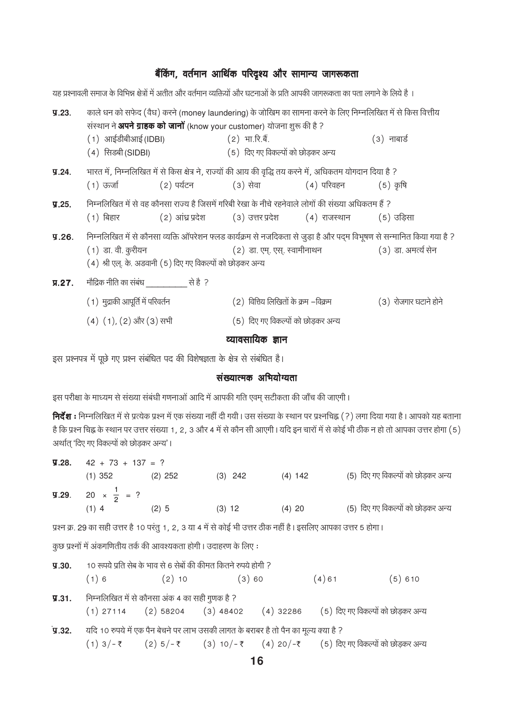### बैंकिंग, वर्तमान आर्थिक परिदृश्य और सामान्य जागरूकता

यह प्रश्नावली समाज के विभिन्न क्षेत्रों में अतीत और वर्तमान व्यक्तियों और घटनाओं के प्रति आपकी जागरूकता का पता लगाने के लिये है । काले धन को सफेद (वैध) करने (money laundering) के जोखिम का सामना करने के लिए निम्नलिखित में से किस वित्तीय  $\P.23.$ संस्थान ने **अपने ग्राहक को जानों** (know your customer) योजना शुरू की है ?  $(1)$  आईडीबीआई (IDBI)  $(2)$  भा.रि.बैं.  $(3)$  नाबार्ड (4) सिडबी (SIDBI) (5) दिए गए विकल्पों को छोडकर अन्य भारत में, निम्नलिखित में से किस क्षेत्र ने, राज्यों की आय की वृद्धि तय करने में, अधिकतम योगदान दिया है ?  $\P.24.$  $(1)$  ऊर्जा (२) पर्यटन (३) सेवा (4) परिवहन  $(5)$  कृषि निम्नलिखित में से वह कौनसा राज्य है जिसमें गरिबी रेखा के नीचे रहनेवाले लोगों की संख्या अधिकतम हैं ?  $\P.25.$  $(1)$  बिहार (2) आंध्र प्रदेश (3) उत्तर प्रदेश  $(4)$  राजस्थान  $(5)$  उडिसा निम्नलिखित में से कौनसा व्यक्ति ऑपरेशन फ्लड कार्यक्रम से नजदिकता से जुड़ा है और पदम विभूषण से सन्मानित किया गया है ?  $\P.26.$ (2) डा. एम्. एस्. स्वामीनाथन (3) डा. अमर्त्य सेन (1) डा. वी. कुरीयन (4) श्री एल्. के. अडवानी (5) दिए गए विकल्पों को छोड़कर अन्य  $\P$ , 27. मौद्रिक नीति का संबंध स्वाद्य करते है ? (1) मुद्राकी आपूर्ति में परिवर्तन (2) वित्तिय लिखितों के क्रम –विक्रम (3) रोजगार घटाने होने (4) (1), (2) और (3) सभी (5) दिए गए विकल्पों को छोडकर अन्य व्यावसायिक ज्ञान

इस प्रश्नपत्र में पूछे गए प्रश्न संबंधित पद की विशेषज्ञता के क्षेत्र से संबंधित है।

#### संख्यात्मक अभियोग्यता

इस परीक्षा के माध्यम से संख्या संबंधी गणनाओं आदि में आपकी गति एवम् सटीकता की जाँच की जाएगी।

निर्देश : निम्नलिखित में से प्रत्येक प्रश्न में एक संख्या नहीं दी गयी। उस संख्या के स्थान पर प्रश्नचिह्न (?) लगा दिया गया है। आपको यह बताना है कि प्रश्न चिह्न के स्थान पर उत्तर संख्या 1, 2, 3 और 4 में से कौन सी आएगी। यदि इन चारों में से कोई भी ठीक न हो तो आपका उत्तर होगा (5) अर्थात 'दिए गए विकल्पों को छोडकर अन्य'।

|                    | $\mathbf{y}.\mathbf{28.} \quad 42 + 73 + 137 = ?$ |                                                                                                                |                     |          |                                                                                      |
|--------------------|---------------------------------------------------|----------------------------------------------------------------------------------------------------------------|---------------------|----------|--------------------------------------------------------------------------------------|
|                    | $(1)$ 352 $(2)$ 252                               |                                                                                                                | $(3)$ 242 $(4)$ 142 |          | (5) दिए गए विकल्पों को छोड़कर अन्य                                                   |
|                    | <b>g.29.</b> 20 $\times \frac{1}{2}$ = ?          |                                                                                                                |                     |          |                                                                                      |
|                    | $(1)$ 4 $(2)$ 5                                   |                                                                                                                | $(3)$ 12            | $(4)$ 20 | (5) दिए गए विकल्पों को छोड़कर अन्य                                                   |
|                    |                                                   | प्रश्न क्र. 29 का सही उत्तर है 10 परंतु 1, 2, 3 या 4 में से कोई भी उत्तर ठीक नहीं है। इसलिए आपका उत्तर 5 होगा। |                     |          |                                                                                      |
|                    |                                                   | कुछ प्रश्नों में अंकगणितीय तर्क की आवश्यकता होगी। उदाहरण के लिए:                                               |                     |          |                                                                                      |
|                    |                                                   | <b>y.30.</b> 10 रूपये प्रति सेब के भाव से 6 सेबों की कीमत कितने रुपये होगी ?                                   |                     |          |                                                                                      |
|                    |                                                   | $(1) 6$ $(2) 10$ $(3) 60$                                                                                      |                     |          | $(4)$ 61 $(5)$ 610                                                                   |
|                    |                                                   | <b>y.31.</b> निम्नलिखित में से कौनसा अंक 4 का सही गुणक है ?                                                    |                     |          |                                                                                      |
|                    |                                                   |                                                                                                                |                     |          | (1) 27114 (2) 58204 (3) 48402 (4) 32286 (5) दिए गए विकल्पों को छोड़कर अन्य           |
| $\overline{9}.32.$ |                                                   | यदि 10 रुपये में एक पैन बेचने पर लाभ उसकी लागत के बराबर है तो पैन का मूल्य क्या है ?                           |                     |          |                                                                                      |
|                    |                                                   |                                                                                                                |                     |          | (1) $3/-$ ₹ (2) $5/-$ ₹ (3) $10/-$ ₹ (4) $20/-$ ₹ (5) दिए गए विकल्पों को छोड़कर अन्य |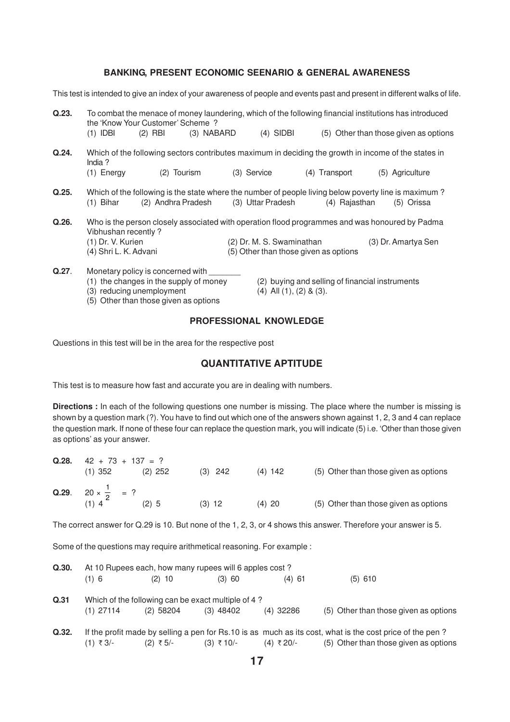#### **BANKING, PRESENT ECONOMIC SEENARIO & GENERAL AWARENESS**

This test is intended to give an index of your awareness of people and events past and present in different walks of life.

| Q.23. | $(1)$ IDBI                                                                                                                                                          | the 'Know Your Customer' Scheme?<br>$(2)$ RBI | (3) NABARD |             | $(4)$ SIDBI                                                        |     |               | To combat the menace of money laundering, which of the following financial institutions has introduced<br>(5) Other than those given as options |  |
|-------|---------------------------------------------------------------------------------------------------------------------------------------------------------------------|-----------------------------------------------|------------|-------------|--------------------------------------------------------------------|-----|---------------|-------------------------------------------------------------------------------------------------------------------------------------------------|--|
| Q.24. | India $?$<br>$(1)$ Energy                                                                                                                                           | (2)                                           | Tourism    | (3) Service |                                                                    | (4) | Transport     | Which of the following sectors contributes maximum in deciding the growth in income of the states in<br>(5) Agriculture                         |  |
| Q.25. | (1) Bihar                                                                                                                                                           | (2) Andhra Pradesh                            |            |             | (3) Uttar Pradesh                                                  |     | (4) Rajasthan | Which of the following is the state where the number of people living below poverty line is maximum?<br>(5) Orissa                              |  |
| Q.26. | Who is the person closely associated with operation flood programmes and was honoured by Padma<br>Vibhushan recently?<br>(1) Dr. V. Kurien<br>(4) Shri L. K. Advani |                                               |            |             | (2) Dr. M. S. Swaminathan<br>(5) Other than those given as options |     |               | (3) Dr. Amartya Sen                                                                                                                             |  |
| Q.27. |                                                                                                                                                                     | Monetary policy is concerned with             |            |             |                                                                    |     |               |                                                                                                                                                 |  |

- 
- (3) reducing unemployment  $(4)$  All  $(1)$ ,  $(2)$  &  $(3)$ .
- (5) Other than those given as options

(1) the changes in the supply of money (2) buying and selling of financial instruments

#### **PROFESSIONAL KNOWLEDGE**

Questions in this test will be in the area for the respective post

#### **QUANTITATIVE APTITUDE**

This test is to measure how fast and accurate you are in dealing with numbers.

**Directions :** In each of the following questions one number is missing. The place where the number is missing is shown by a question mark (?). You have to find out which one of the answers shown against 1, 2, 3 and 4 can replace the question mark. If none of these four can replace the question mark, you will indicate (5) i.e. 'Other than those given as options' as your answer.

| Q.28. | $42 + 73 + 137 = ?$                                 |           |           |           |                                       |  |
|-------|-----------------------------------------------------|-----------|-----------|-----------|---------------------------------------|--|
|       | $(1)$ 352                                           | $(2)$ 252 | $(3)$ 242 | $(4)$ 142 | (5) Other than those given as options |  |
|       | <b>Q.29.</b> $20 \times \frac{1}{2}$ = ?<br>$(1)$ 4 | $(2)$ 5   | $(3)$ 12  | $(4)$ 20  | (5) Other than those given as options |  |

The correct answer for Q.29 is 10. But none of the 1, 2, 3, or 4 shows this answer. Therefore your answer is 5.

Some of the questions may require arithmetical reasoning. For example :

| Q.30. | At 10 Rupees each, how many rupees will 6 apples cost? |                                                    |                           |             |                                                                                                          |  |  |  |
|-------|--------------------------------------------------------|----------------------------------------------------|---------------------------|-------------|----------------------------------------------------------------------------------------------------------|--|--|--|
|       | $(1)$ 6                                                | $(2)$ 10                                           | (3) 60                    | $(4)$ 61    | $(5)$ 610                                                                                                |  |  |  |
| Q.31  |                                                        | Which of the following can be exact multiple of 4? |                           |             |                                                                                                          |  |  |  |
|       | $(1)$ 27114                                            | $(2)$ 58204                                        | $(3)$ 48402               | $(4)$ 32286 | (5) Other than those given as options                                                                    |  |  |  |
| Q.32. |                                                        |                                                    |                           |             | If the profit made by selling a pen for Rs.10 is as much as its cost, what is the cost price of the pen? |  |  |  |
|       | (1) ₹3/-                                               | (2) ₹5/-                                           | $(3)$ ₹ 10/- $(4)$ ₹ 20/- |             | (5) Other than those given as options                                                                    |  |  |  |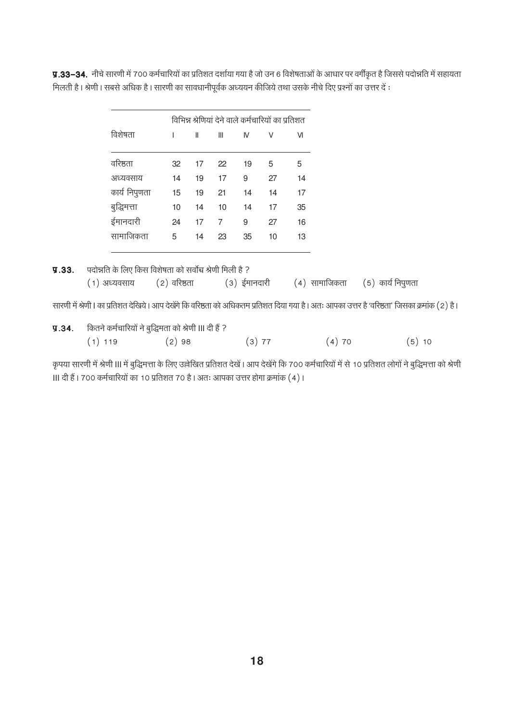y.33–34. नीचे सारणी में 700 कर्मचारियों का प्रतिशत दर्शाया गया है जो उन 6 विशेषताओं के आधार पर वर्गीकृत है जिससे पदोन्नति में सहायता मिलती है। श्रेणी। सबसे अधिक है। सारणी का सावधानीपूर्वक अध्ययन कीजिये तथा उसके नीचे दिए प्रश्नों का उत्तर दें :

|               | विभिन्न श्रेणियां देने वाले कर्मचारियों का प्रतिशत |    |    |    |    |    |
|---------------|----------------------------------------------------|----|----|----|----|----|
| विशेषता       | ı                                                  | Ш  | Ш  | IV | V  | VI |
|               |                                                    |    |    |    |    |    |
| वरिष्ठता      | 32                                                 | 17 | 22 | 19 | 5  | 5  |
| अध्यवसाय      | 14                                                 | 19 | 17 | 9  | 27 | 14 |
| कार्य निपुणता | 15                                                 | 19 | 21 | 14 | 14 | 17 |
| बुद्धिमत्ता   | 10                                                 | 14 | 10 | 14 | 17 | 35 |
| ईमानदारी      | 24                                                 | 17 | 7  | 9  | 27 | 16 |
| सामाजिकता     | 5                                                  | 14 | 23 | 35 | 10 | 13 |
|               |                                                    |    |    |    |    |    |

सारणी में श्रेणी। का प्रतिशत देखिये। आप देखेंगे कि वरिष्ठता को अधिकतम प्रतिशत दिया गया है। अतः आपका उत्तर है 'वरिष्ठता' जिसका क्रमांक (2) है।

| 9.34. |           | कितने कर्मचारियों ने बुद्धिमता को श्रेणी III दी हैं ? |          |       |       |  |  |  |
|-------|-----------|-------------------------------------------------------|----------|-------|-------|--|--|--|
|       | $(1)$ 119 | (2)98                                                 | $(3)$ 77 | (4)70 | (5)10 |  |  |  |

कृपया सारणी में श्रेणी III में बुद्धिमत्ता के लिए उल्लेखित प्रतिशत देखें। आप देखेंगे कि 700 कर्मचारियों में से 10 प्रतिशत लोगों ने बुद्धिमत्ता को श्रेणी ॥। दी हैं। 700 कर्मचारियों का 10 प्रतिशत 70 है। अतः आपका उत्तर होगा क्रमांक (4)।